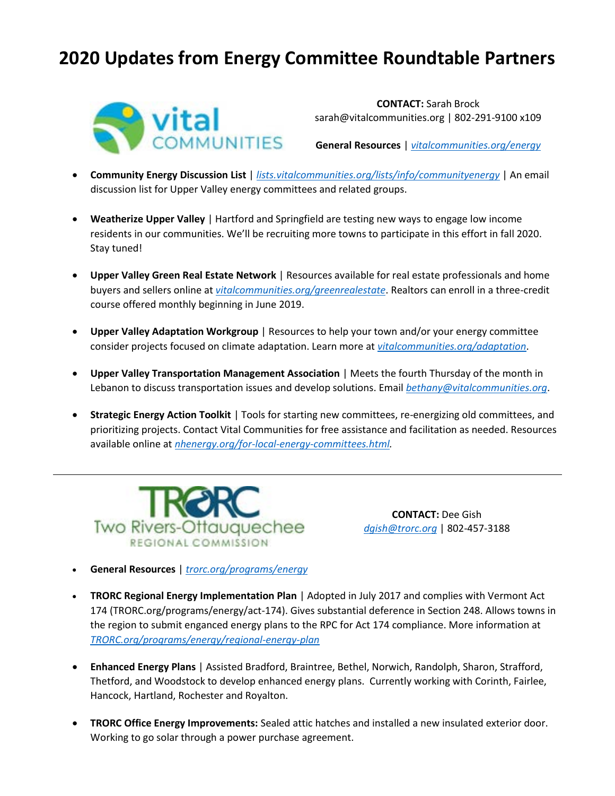# **2020 Updates from Energy Committee Roundtable Partners**



**CONTACT:** Sarah Brock sarah@vitalcommunities.org | 802-291-9100 x109

**General Resources** | *[vitalcommunities.org/energy](https://vitalcommunities.org/energy)*

- **Community Energy Discussion List** | *[lists.vitalcommunities.org/lists/info/communityenergy](file://///10.0.0.200/Data/VICO_Data/Energy/Municipal/Annual%20Energy%20Committee%20Roundtable/Roundtable%202019/Partner%20Updates/lists.vitalcommunities.org/lists/info/communityenergy)* | An email discussion list for Upper Valley energy committees and related groups.
- **Weatherize Upper Valley** | Hartford and Springfield are testing new ways to engage low income residents in our communities. We'll be recruiting more towns to participate in this effort in fall 2020. Stay tuned!
- **Upper Valley Green Real Estate Network** | Resources available for real estate professionals and home buyers and sellers online at *[vitalcommunities.org/greenrealestate](file://///10.0.0.200/Data/VICO_Data/Energy/Municipal/Annual%20Energy%20Committee%20Roundtable/Roundtable%202019/Partner%20Updates/vitalcommunities.org/greenrealestate)*. Realtors can enroll in a three-credit course offered monthly beginning in June 2019.
- **Upper Valley Adaptation Workgroup** | Resources to help your town and/or your energy committee consider projects focused on climate adaptation. Learn more at *[vitalcommunities.org/adaptation](file://///10.0.0.200/Data/VICO_Data/Energy/Municipal/Annual%20Energy%20Committee%20Roundtable/Roundtable%202019/Partner%20Updates/vitalcommunities.org/adaptation)*.
- **Upper Valley Transportation Management Association** | Meets the fourth Thursday of the month in Lebanon to discuss transportation issues and develop solutions. Email *[bethany@vitalcommunities.org](mailto:bethany@vitalcommunities.org)*.
- **Strategic Energy Action Toolkit** | Tools for starting new committees, re-energizing old committees, and prioritizing projects. Contact Vital Communities for free assistance and facilitation as needed. Resources available online at *[nhenergy.org/for-local-energy-committees.html.](https://www.nhenergy.org/for-local-energy-committees.html)*



**CONTACT:** Dee Gish *[dgish@trorc.org](mailto:dgish@trorc.org)* | 802-457-3188

- **General Resources** | *[trorc.org/programs/energy](http://www.trorc.org/programs/energy/)*
- **TRORC Regional Energy Implementation Plan** | Adopted in July 2017 and complies with Vermont Act 174 (TRORC.org/programs/energy/act-174). Gives substantial deference in Section 248. Allows towns in the region to submit enganced energy plans to the RPC for Act 174 compliance. More information at *[TRORC.org/programs/energy/regional-energy-plan](http://www.trorc.org/programs/energy/regional-energy-plan/)*
- **Enhanced Energy Plans** | Assisted Bradford, Braintree, Bethel, Norwich, Randolph, Sharon, Strafford, Thetford, and Woodstock to develop enhanced energy plans. Currently working with Corinth, Fairlee, Hancock, Hartland, Rochester and Royalton.
- **TRORC Office Energy Improvements:** Sealed attic hatches and installed a new insulated exterior door. Working to go solar through a power purchase agreement.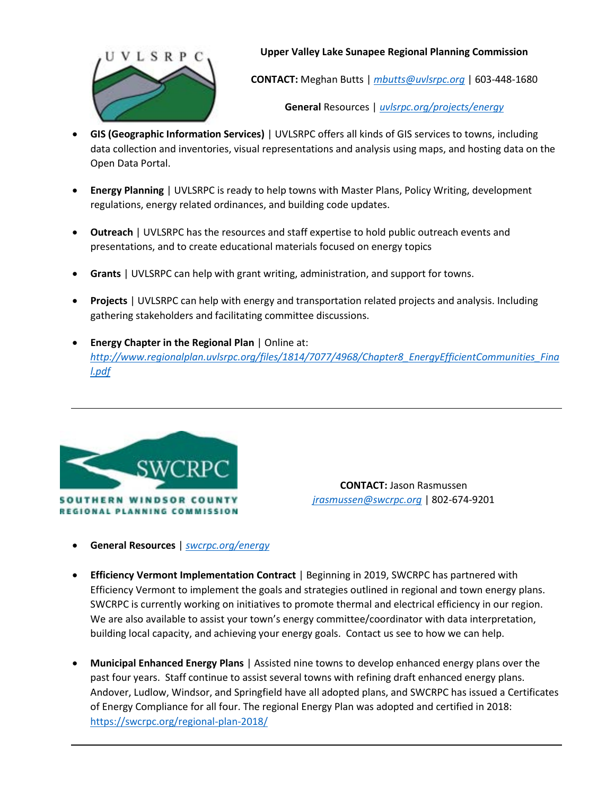

**Upper Valley Lake Sunapee Regional Planning Commission**

**CONTACT:** Meghan Butts | *[mbutts@uvlsrpc.org](mailto:mbutts@uvlsrpc.org)* | 603-448-1680

**General** Resources | *[uvlsrpc.org/projects/energy](file://///10.0.0.200/Data/VICO_Data/Energy/Municipal/Annual%20Energy%20Committee%20Roundtable/Roundtable%202019/Partner%20Updates/uvlsrpc.org/projects/energy)*

- **GIS (Geographic Information Services)** | UVLSRPC offers all kinds of GIS services to towns, including data collection and inventories, visual representations and analysis using maps, and hosting data on the Open Data Portal.
- **Energy Planning** | UVLSRPC is ready to help towns with Master Plans, Policy Writing, development regulations, energy related ordinances, and building code updates.
- **Outreach** | UVLSRPC has the resources and staff expertise to hold public outreach events and presentations, and to create educational materials focused on energy topics
- **Grants** | UVLSRPC can help with grant writing, administration, and support for towns.
- **Projects** | UVLSRPC can help with energy and transportation related projects and analysis. Including gathering stakeholders and facilitating committee discussions.
- **Energy Chapter in the Regional Plan** | Online at: *[http://www.regionalplan.uvlsrpc.org/files/1814/7077/4968/Chapter8\\_EnergyEfficientCommunities\\_Fina](http://www.regionalplan.uvlsrpc.org/files/1814/7077/4968/Chapter8_EnergyEfficientCommunities_Final.pdf) [l.pdf](http://www.regionalplan.uvlsrpc.org/files/1814/7077/4968/Chapter8_EnergyEfficientCommunities_Final.pdf)*



**CONTACT:** Jason Rasmussen *[jrasmussen@swcrpc.org](mailto:jrasmussen@swcrpc.org)* | 802-674-9201

- **General Resources** | *[swcrpc.org/energy](http://www.swcrpc.org/energy)*
- **Efficiency Vermont Implementation Contract** | Beginning in 2019, SWCRPC has partnered with Efficiency Vermont to implement the goals and strategies outlined in regional and town energy plans. SWCRPC is currently working on initiatives to promote thermal and electrical efficiency in our region. We are also available to assist your town's energy committee/coordinator with data interpretation, building local capacity, and achieving your energy goals. Contact us see to how we can help.
- **Municipal Enhanced Energy Plans** | Assisted nine towns to develop enhanced energy plans over the past four years. Staff continue to assist several towns with refining draft enhanced energy plans. Andover, Ludlow, Windsor, and Springfield have all adopted plans, and SWCRPC has issued a Certificates of Energy Compliance for all four. The regional Energy Plan was adopted and certified in 2018: <https://swcrpc.org/regional-plan-2018/>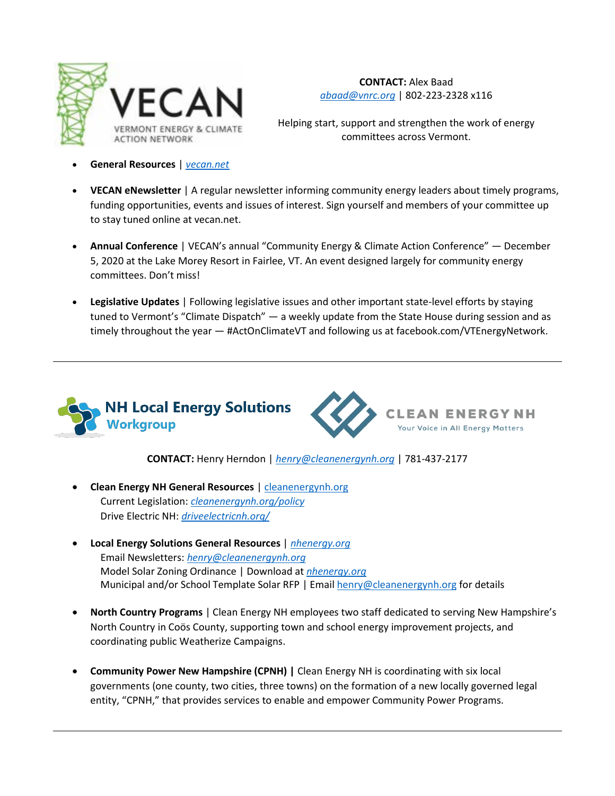

**CONTACT:** Alex Baad *[abaad@vnrc.org](mailto:abaad@vnrc.org)* | 802-223-2328 x116

Helping start, support and strengthen the work of energy committees across Vermont.

- **General Resources** | *[vecan.net](http://www.vecan.net/)*
- **VECAN eNewsletter** | A regular newsletter informing community energy leaders about timely programs, funding opportunities, events and issues of interest. Sign yourself and members of your committee up to stay tuned online at vecan.net.
- **Annual Conference** | VECAN's annual "Community Energy & Climate Action Conference" December 5, 2020 at the Lake Morey Resort in Fairlee, VT. An event designed largely for community energy committees. Don't miss!
- **Legislative Updates** | Following legislative issues and other important state-level efforts by staying tuned to Vermont's "Climate Dispatch" — a weekly update from the State House during session and as timely throughout the year — #ActOnClimateVT and following us at facebook.com/VTEnergyNetwork.





**CONTACT:** Henry Herndon | *[henry@cleanenergynh.org](mailto:henry@cleanenergynh.org)* | 781-437-2177

- **Clean Energy NH General Resources** | [cleanenergynh.org](https://www.cleanenergynh.org/) Current Legislation: *[cleanenergynh.org/policy](https://www.cleanenergynh.org/policy)* Drive Electric NH: *[driveelectricnh.org/](https://www.driveelectricnh.org/)*
- **Local Energy Solutions General Resources** | *[nhenergy.org](http://www.nhenergy.org/)* Email Newsletters: *[henry@cleanenergynh.org](mailto:henry@cleanenergynh.org)* Model Solar Zoning Ordinance | Download at *[nhenergy.org](https://www.nhenergy.org/)* Municipal and/or School Template Solar RFP | Emai[l henry@cleanenergynh.org](mailto:henry@cleanenergynh.org) for details
- **North Country Programs** | Clean Energy NH employees two staff dedicated to serving New Hampshire's North Country in Coös County, supporting town and school energy improvement projects, and coordinating public Weatherize Campaigns.
- **Community Power New Hampshire (CPNH)** | Clean Energy NH is coordinating with six local governments (one county, two cities, three towns) on the formation of a new locally governed legal entity, "CPNH," that provides services to enable and empower Community Power Programs.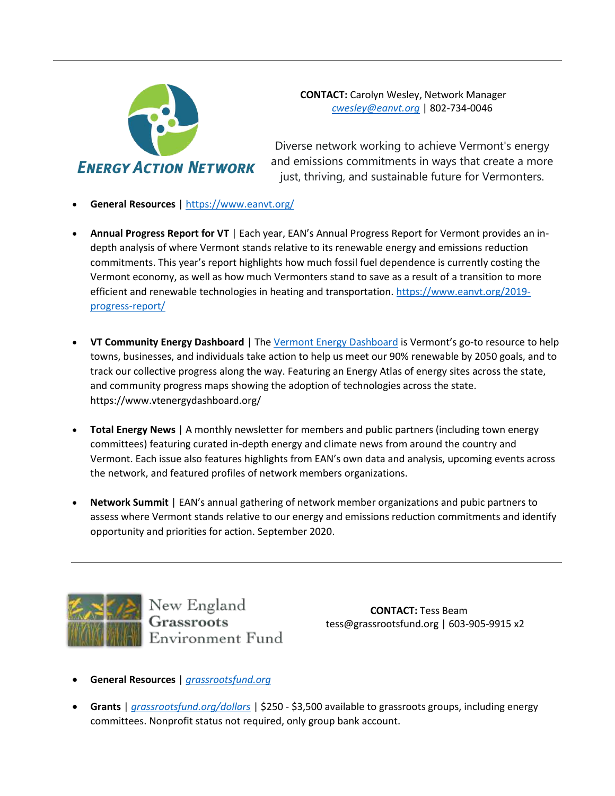

**CONTACT:** Carolyn Wesley, Network Manager *[cwesley@eanvt.org](mailto:cwesley@eanvt.org)* | 802-734-0046

Diverse network working to achieve Vermont's energy and emissions commitments in ways that create a more just, thriving, and sustainable future for Vermonters.

- **General Resources** |<https://www.eanvt.org/>
- **Annual Progress Report for VT** | Each year, EAN's Annual Progress Report for Vermont provides an indepth analysis of where Vermont stands relative to its renewable energy and emissions reduction commitments. This year's report highlights how much fossil fuel dependence is currently costing the Vermont economy, as well as how much Vermonters stand to save as a result of a transition to more efficient and renewable technologies in heating and transportation[. https://www.eanvt.org/2019](https://www.eanvt.org/2019-progress-report/) [progress-report/](https://www.eanvt.org/2019-progress-report/)
- **VT Community Energy Dashboard** | Th[e Vermont Energy Dashboard](https://www.vtenergydashboard.org/) is Vermont's go-to resource to help towns, businesses, and individuals take action to help us meet our 90% renewable by 2050 goals, and to track our collective progress along the way. Featuring an Energy Atlas of energy sites across the state, and community progress maps showing the adoption of technologies across the state. https://www.vtenergydashboard.org/
- **Total Energy News** | A monthly newsletter for members and public partners (including town energy committees) featuring curated in-depth energy and climate news from around the country and Vermont. Each issue also features highlights from EAN's own data and analysis, upcoming events across the network, and featured profiles of network members organizations.
- **Network Summit** | EAN's annual gathering of network member organizations and pubic partners to assess where Vermont stands relative to our energy and emissions reduction commitments and identify opportunity and priorities for action. September 2020.



New England<br>**Grassroots** Environment Fund

**CONTACT:** Tess Beam tess@grassrootsfund.org | 603-905-9915 x2

- **General Resources** | *[grassrootsfund.org](https://grassrootsfund.org/)*
- **Grants** | *[grassrootsfund.org/dollars](https://grassrootsfund.org/dollars)* | \$250 \$3,500 available to grassroots groups, including energy committees. Nonprofit status not required, only group bank account.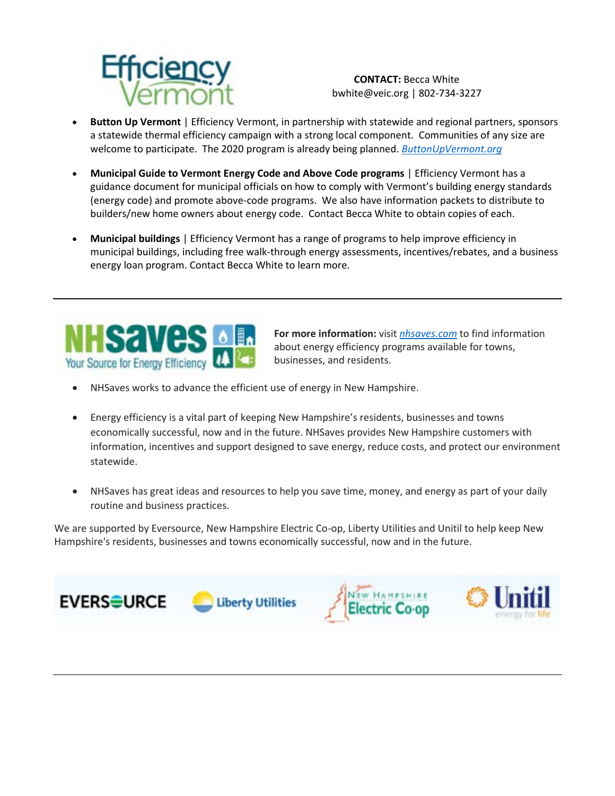

**CONTACT:** Becca White bwhite@veic.org | 802-734-3227

- **Button Up Vermont** | Efficiency Vermont, in partnership with statewide and regional partners, sponsors a statewide thermal efficiency campaign with a strong local component. Communities of any size are welcome to participate. The 2020 program is already being planned. *[ButtonUpVermont.org](file:///C:/Users/bwhite/AppData/Local/Microsoft/Windows/INetCache/Content.Outlook/OI4CR7PF/buttonupvermont.org/)*
- **Municipal Guide to Vermont Energy Code and Above Code programs** | Efficiency Vermont has a guidance document for municipal officials on how to comply with Vermont's building energy standards (energy code) and promote above-code programs. We also have information packets to distribute to builders/new home owners about energy code. Contact Becca White to obtain copies of each.
- **Municipal buildings** | Efficiency Vermont has a range of programs to help improve efficiency in municipal buildings, including free walk-through energy assessments, incentives/rebates, and a business energy loan program. Contact Becca White to learn more.



**For more information:** visit *[nhsaves.com](http://www.nhsaves.com/)* to find information about energy efficiency programs available for towns, businesses, and residents.

- NHSaves works to advance the efficient use of energy in New Hampshire.
- Energy efficiency is a vital part of keeping New Hampshire's residents, businesses and towns economically successful, now and in the future. NHSaves provides New Hampshire customers with information, incentives and support designed to save energy, reduce costs, and protect our environment statewide.
- NHSaves has great ideas and resources to help you save time, money, and energy as part of your daily routine and business practices.

We are supported by Eversource, New Hampshire Electric Co-op, Liberty Utilities and Unitil to help keep New Hampshire's residents, businesses and towns economically successful, now and in the future.

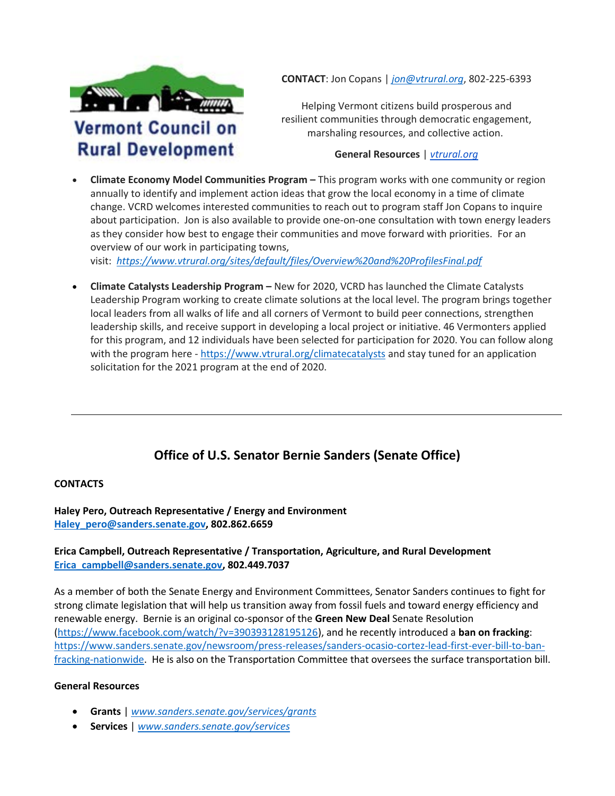

**CONTACT**: Jon Copans | *[jon@vtrural.org](mailto:jon@vtrural.org)*, 802-225-6393

Helping Vermont citizens build prosperous and resilient communities through democratic engagement, marshaling resources, and collective action.

## **General Resources** | *[vtrural.org](http://www.vtrural.org/)*

 **Climate Economy Model Communities Program –** This program works with one community or region annually to identify and implement action ideas that grow the local economy in a time of climate change. VCRD welcomes interested communities to reach out to program staff Jon Copans to inquire about participation. Jon is also available to provide one-on-one consultation with town energy leaders as they consider how best to engage their communities and move forward with priorities. For an overview of our work in participating towns,

visit: *<https://www.vtrural.org/sites/default/files/Overview%20and%20ProfilesFinal.pdf>*

 **Climate Catalysts Leadership Program –** New for 2020, VCRD has launched the Climate Catalysts Leadership Program working to create climate solutions at the local level. The program brings together local leaders from all walks of life and all corners of Vermont to build peer connections, strengthen leadership skills, and receive support in developing a local project or initiative. 46 Vermonters applied for this program, and 12 individuals have been selected for participation for 2020. You can follow along with the program here [- https://www.vtrural.org/climatecatalysts](https://www.vtrural.org/climatecatalysts) and stay tuned for an application solicitation for the 2021 program at the end of 2020.

# **Office of U.S. Senator Bernie Sanders (Senate Office)**

#### **CONTACTS**

**Haley Pero, Outreach Representative / Energy and Environment [Haley\\_pero@sanders.senate.gov,](mailto:Haley_pero@sanders.senate.gov) 802.862.6659** 

### **Erica Campbell, Outreach Representative / Transportation, Agriculture, and Rural Development [Erica\\_campbell@sanders.senate.gov,](mailto:Erica_campbell@sanders.senate.gov) 802.449.7037**

As a member of both the Senate Energy and Environment Committees, Senator Sanders continues to fight for strong climate legislation that will help us transition away from fossil fuels and toward energy efficiency and renewable energy. Bernie is an original co-sponsor of the **Green New Deal** Senate Resolution [\(https://www.facebook.com/watch/?v=390393128195126\)](https://www.facebook.com/watch/?v=390393128195126), and he recently introduced a **ban on fracking**: [https://www.sanders.senate.gov/newsroom/press-releases/sanders-ocasio-cortez-lead-first-ever-bill-to-ban](https://www.sanders.senate.gov/newsroom/press-releases/sanders-ocasio-cortez-lead-first-ever-bill-to-ban-fracking-nationwide)[fracking-nationwide.](https://www.sanders.senate.gov/newsroom/press-releases/sanders-ocasio-cortez-lead-first-ever-bill-to-ban-fracking-nationwide) He is also on the Transportation Committee that oversees the surface transportation bill.

#### **General Resources**

- **Grants** | *[www.sanders.senate.gov/services/grants](https://www.sanders.senate.gov/services/grants)*
- **Services** | *[www.sanders.senate.gov/services](http://www.sanders.senate.gov/services)*